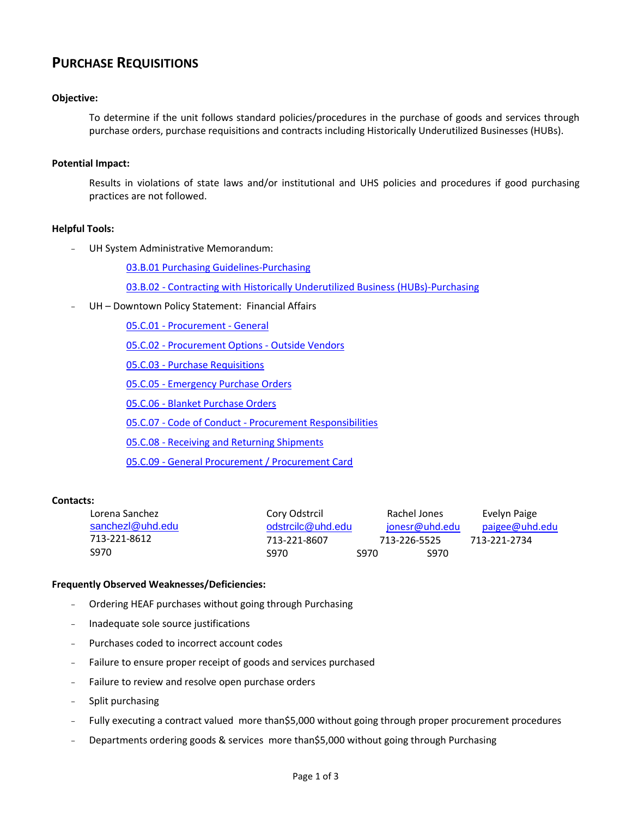# **PURCHASE REQUISITIONS**

## **Objective:**

To determine if the unit follows standard policies/procedures in the purchase of goods and services through purchase orders, purchase requisitions and contracts including Historically Underutilized Businesses (HUBs).

#### **Potential Impact:**

Results in violations of state laws and/or institutional and UHS policies and procedures if good purchasing practices are not followed.

### **Helpful Tools:**

UH System Administrative Memorandum:

[03.B.01 Purchasing Guidelines-Purchasing](http://www.uhsa.uh.edu/sam/3FicsalAffairs/3B1.pdf)

03.B.02 - [Contracting with Historically Underutilized Business \(HUBs\)-Purchasing](http://www.uhsa.uh.edu/sam/3FicsalAffairs/3B2.pdf)

UH - Downtown Policy Statement: Financial Affairs

05.C.01 - [Procurement -](http://www.uhd.edu/about/hr/PS05C01.pdf) General 05.C.02 - [Procurement Options -](http://www.uhd.edu/about/hr/PS05C02.pdf) Outside Vendors 05.C.03 - [Purchase Requisitions](http://www.uhd.edu/about/hr/financial_policy.html) 05.C.05 - [Emergency Purchase Orders](http://www.uhd.edu/about/hr/PS05C05.pdf) 05.C.06 - [Blanket Purchase Orders](http://www.uhd.edu/about/hr/PS05C06.pdf) 05.C.07 - Code of Conduct - [Procurement Responsibilities](http://www.uhd.edu/about/hr/PS05C07.pdf) 05.C.08 - [Receiving and Returning Shipments](http://www.uhd.edu/about/hr/PS05C07.pdf) 05.C.09 - [General Procurement / Procurement Card](http://www.uhd.edu/about/hr/PS05C09.pdf)

#### **Contacts:**

| Lorena Sanchez   | Cory Odstrcil     |      | Rachel Jones |                | Evelyn Paige   |
|------------------|-------------------|------|--------------|----------------|----------------|
| sanchez @uhd.edu | odstrcilc@uhd.edu |      |              | jonesr@uhd.edu | paigee@uhd.edu |
| 713-221-8612     | 713-221-8607      |      | 713-226-5525 |                | 713-221-2734   |
| S970             | S970.             | S970 |              | S970           |                |

#### **Frequently Observed Weaknesses/Deficiencies:**

- Ordering HEAF purchases without going through Purchasing
- Inadequate sole source justifications
- Purchases coded to incorrect account codes
- Failure to ensure proper receipt of goods and services purchased
- Failure to review and resolve open purchase orders
- Split purchasing
- Fully executing a contract valued more than\$5,000 without going through proper procurement procedures
- Departments ordering goods & services more than\$5,000 without going through Purchasing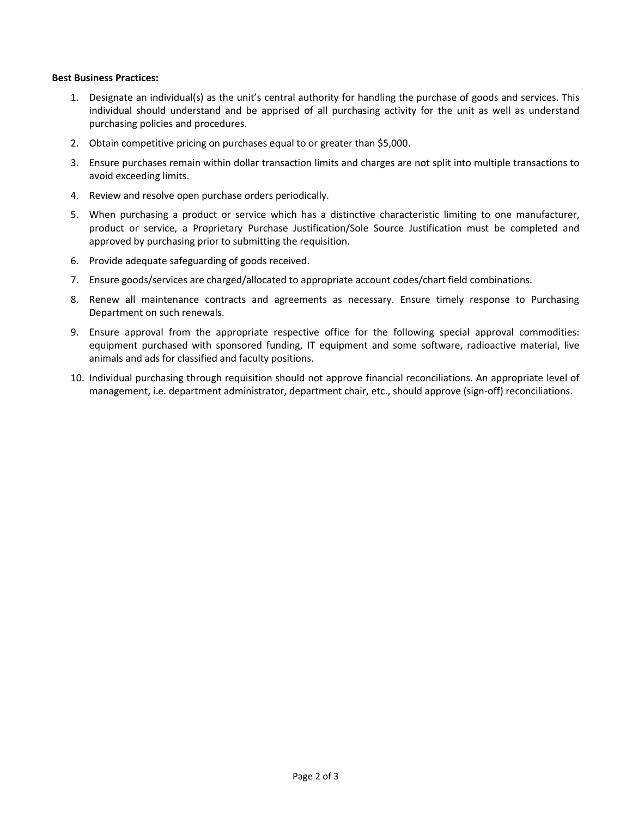#### **Best Business Practices:**

- 1. Designate an individual(s) as the unit's central authority for handling the purchase of goods and services. This individual should understand and be apprised of all purchasing activity for the unit as well as understand purchasing policies and procedures.
- 2. Obtain competitive pricing on purchases equal to or greater than \$5,000.
- 3. Ensure purchases remain within dollar transaction limits and charges are not split into multiple transactions to avoid exceeding limits.
- 4. Review and resolve open purchase orders periodically.
- 5. When purchasing a product or service which has a distinctive characteristic limiting to one manufacturer, product or service, a Proprietary Purchase Justification/Sole Source Justification must be completed and approved by purchasing prior to submitting the requisition.
- 6. Provide adequate safeguarding of goods received.
- 7. Ensure goods/services are charged/allocated to appropriate account codes/chart field combinations.
- 8. Renew all maintenance contracts and agreements as necessary. Ensure timely response to Purchasing Department on such renewals.
- 9. Ensure approval from the appropriate respective office for the following special approval commodities: equipment purchased with sponsored funding, IT equipment and some software, radioactive material, live animals and ads for classified and faculty positions.
- 10. Individual purchasing through requisition should not approve financial reconciliations. An appropriate level of management, i.e. department administrator, department chair, etc., should approve (sign-off) reconciliations.